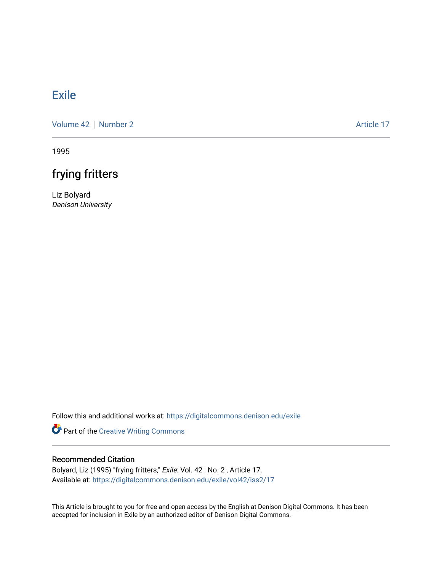## **[Exile](https://digitalcommons.denison.edu/exile)**

[Volume 42](https://digitalcommons.denison.edu/exile/vol42) | [Number 2](https://digitalcommons.denison.edu/exile/vol42/iss2) Article 17

1995

# frying fritters

Liz Bolyard Denison University

Follow this and additional works at: [https://digitalcommons.denison.edu/exile](https://digitalcommons.denison.edu/exile?utm_source=digitalcommons.denison.edu%2Fexile%2Fvol42%2Fiss2%2F17&utm_medium=PDF&utm_campaign=PDFCoverPages) 

Part of the [Creative Writing Commons](http://network.bepress.com/hgg/discipline/574?utm_source=digitalcommons.denison.edu%2Fexile%2Fvol42%2Fiss2%2F17&utm_medium=PDF&utm_campaign=PDFCoverPages) 

### Recommended Citation

Bolyard, Liz (1995) "frying fritters," Exile: Vol. 42 : No. 2 , Article 17. Available at: [https://digitalcommons.denison.edu/exile/vol42/iss2/17](https://digitalcommons.denison.edu/exile/vol42/iss2/17?utm_source=digitalcommons.denison.edu%2Fexile%2Fvol42%2Fiss2%2F17&utm_medium=PDF&utm_campaign=PDFCoverPages)

This Article is brought to you for free and open access by the English at Denison Digital Commons. It has been accepted for inclusion in Exile by an authorized editor of Denison Digital Commons.